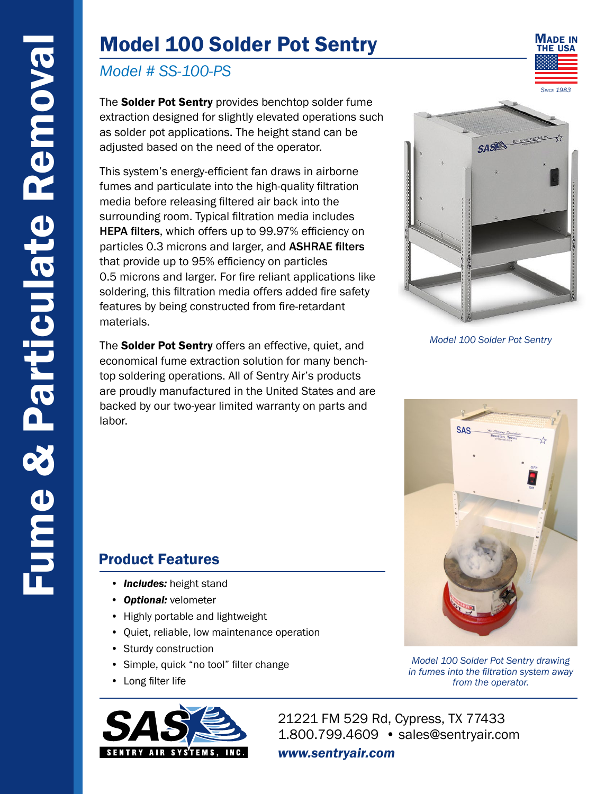# Model 100 Solder Pot Sentry

### *Model # SS-100-PS*

The Solder Pot Sentry provides benchtop solder fume extraction designed for slightly elevated operations such as solder pot applications. The height stand can be adjusted based on the need of the operator.

This system's energy-efficient fan draws in airborne fumes and particulate into the high-quality filtration media before releasing filtered air back into the surrounding room. Typical filtration media includes HEPA filters, which offers up to 99.97% efficiency on particles 0.3 microns and larger, and ASHRAE filters that provide up to 95% efficiency on particles 0.5 microns and larger. For fire reliant applications like soldering, this filtration media offers added fire safety features by being constructed from fire-retardant materials.

The **Solder Pot Sentry** offers an effective, quiet, and economical fume extraction solution for many benchtop soldering operations. All of Sentry Air's products are proudly manufactured in the United States and are backed by our two-year limited warranty on parts and labor.



MADE IN THE USA

*Model 100 Solder Pot Sentry*

**SAS** 

*Model 100 Solder Pot Sentry drawing in fumes into the filtration system away from the operator.*

### Product Features

- *Includes:* height stand
- *Optional:* velometer
- Highly portable and lightweight
- Quiet, reliable, low maintenance operation
- Sturdy construction
- Simple, quick "no tool" filter change
- Long filter life



21221 FM 529 Rd, Cypress, TX 77433 1.800.799.4609 • sales@sentryair.com

#### *www.sentryair.com*